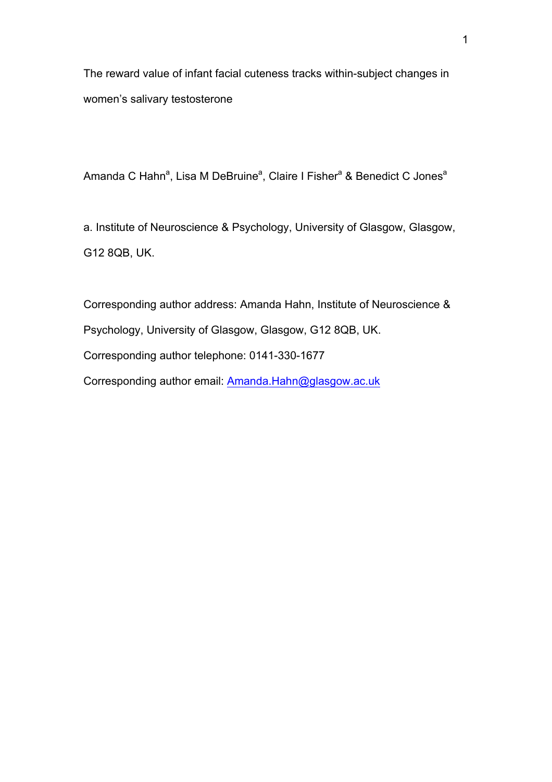The reward value of infant facial cuteness tracks within-subject changes in women's salivary testosterone

Amanda C Hahn<sup>a</sup>, Lisa M DeBruine<sup>a</sup>, Claire I Fisher<sup>a</sup> & Benedict C Jones<sup>a</sup>

a. Institute of Neuroscience & Psychology, University of Glasgow, Glasgow, G12 8QB, UK.

Corresponding author address: Amanda Hahn, Institute of Neuroscience & Psychology, University of Glasgow, Glasgow, G12 8QB, UK. Corresponding author telephone: 0141-330-1677 Corresponding author email: Amanda.Hahn@glasgow.ac.uk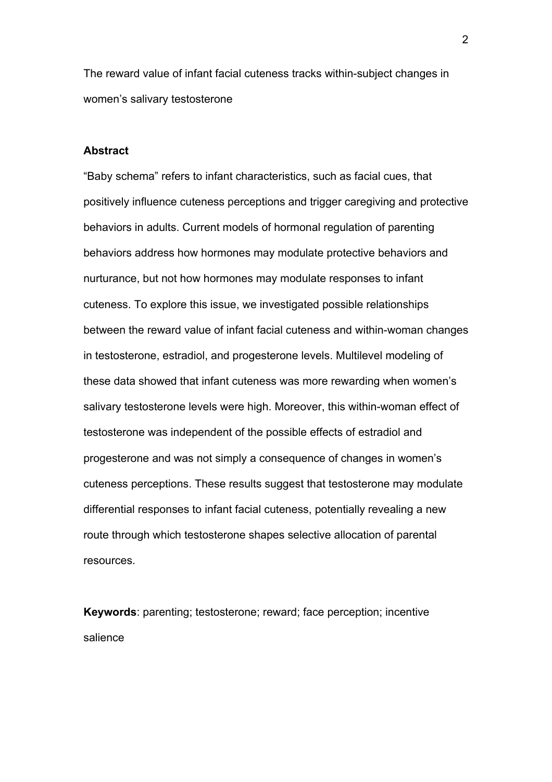The reward value of infant facial cuteness tracks within-subject changes in women's salivary testosterone

# **Abstract**

"Baby schema" refers to infant characteristics, such as facial cues, that positively influence cuteness perceptions and trigger caregiving and protective behaviors in adults. Current models of hormonal regulation of parenting behaviors address how hormones may modulate protective behaviors and nurturance, but not how hormones may modulate responses to infant cuteness. To explore this issue, we investigated possible relationships between the reward value of infant facial cuteness and within-woman changes in testosterone, estradiol, and progesterone levels. Multilevel modeling of these data showed that infant cuteness was more rewarding when women's salivary testosterone levels were high. Moreover, this within-woman effect of testosterone was independent of the possible effects of estradiol and progesterone and was not simply a consequence of changes in women's cuteness perceptions. These results suggest that testosterone may modulate differential responses to infant facial cuteness, potentially revealing a new route through which testosterone shapes selective allocation of parental resources.

**Keywords**: parenting; testosterone; reward; face perception; incentive salience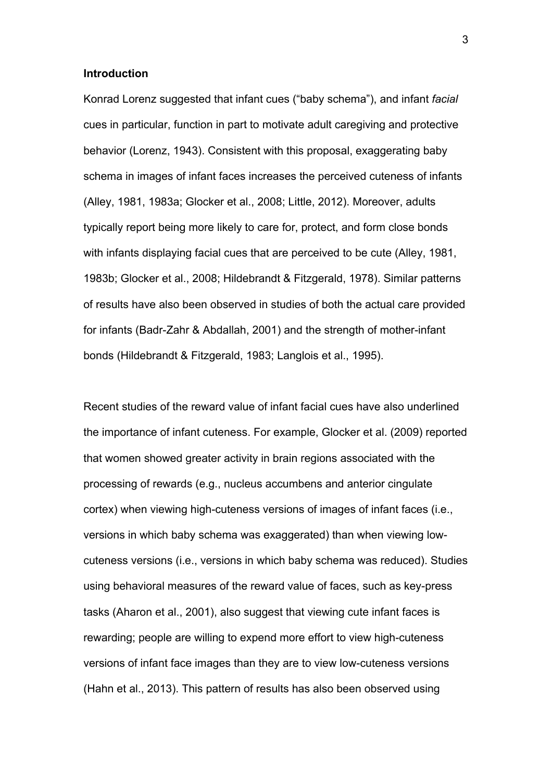#### **Introduction**

Konrad Lorenz suggested that infant cues ("baby schema"), and infant *facial* cues in particular, function in part to motivate adult caregiving and protective behavior (Lorenz, 1943). Consistent with this proposal, exaggerating baby schema in images of infant faces increases the perceived cuteness of infants (Alley, 1981, 1983a; Glocker et al., 2008; Little, 2012). Moreover, adults typically report being more likely to care for, protect, and form close bonds with infants displaying facial cues that are perceived to be cute (Alley, 1981, 1983b; Glocker et al., 2008; Hildebrandt & Fitzgerald, 1978). Similar patterns of results have also been observed in studies of both the actual care provided for infants (Badr-Zahr & Abdallah, 2001) and the strength of mother-infant bonds (Hildebrandt & Fitzgerald, 1983; Langlois et al., 1995).

Recent studies of the reward value of infant facial cues have also underlined the importance of infant cuteness. For example, Glocker et al. (2009) reported that women showed greater activity in brain regions associated with the processing of rewards (e.g., nucleus accumbens and anterior cingulate cortex) when viewing high-cuteness versions of images of infant faces (i.e., versions in which baby schema was exaggerated) than when viewing lowcuteness versions (i.e., versions in which baby schema was reduced). Studies using behavioral measures of the reward value of faces, such as key-press tasks (Aharon et al., 2001), also suggest that viewing cute infant faces is rewarding; people are willing to expend more effort to view high-cuteness versions of infant face images than they are to view low-cuteness versions (Hahn et al., 2013). This pattern of results has also been observed using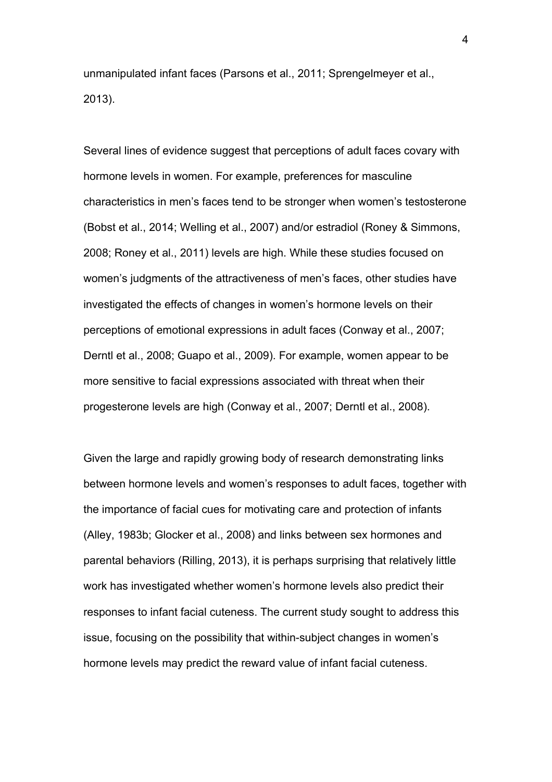unmanipulated infant faces (Parsons et al., 2011; Sprengelmeyer et al., 2013).

Several lines of evidence suggest that perceptions of adult faces covary with hormone levels in women. For example, preferences for masculine characteristics in men's faces tend to be stronger when women's testosterone (Bobst et al., 2014; Welling et al., 2007) and/or estradiol (Roney & Simmons, 2008; Roney et al., 2011) levels are high. While these studies focused on women's judgments of the attractiveness of men's faces, other studies have investigated the effects of changes in women's hormone levels on their perceptions of emotional expressions in adult faces (Conway et al., 2007; Derntl et al., 2008; Guapo et al., 2009). For example, women appear to be more sensitive to facial expressions associated with threat when their progesterone levels are high (Conway et al., 2007; Derntl et al., 2008).

Given the large and rapidly growing body of research demonstrating links between hormone levels and women's responses to adult faces, together with the importance of facial cues for motivating care and protection of infants (Alley, 1983b; Glocker et al., 2008) and links between sex hormones and parental behaviors (Rilling, 2013), it is perhaps surprising that relatively little work has investigated whether women's hormone levels also predict their responses to infant facial cuteness. The current study sought to address this issue, focusing on the possibility that within-subject changes in women's hormone levels may predict the reward value of infant facial cuteness.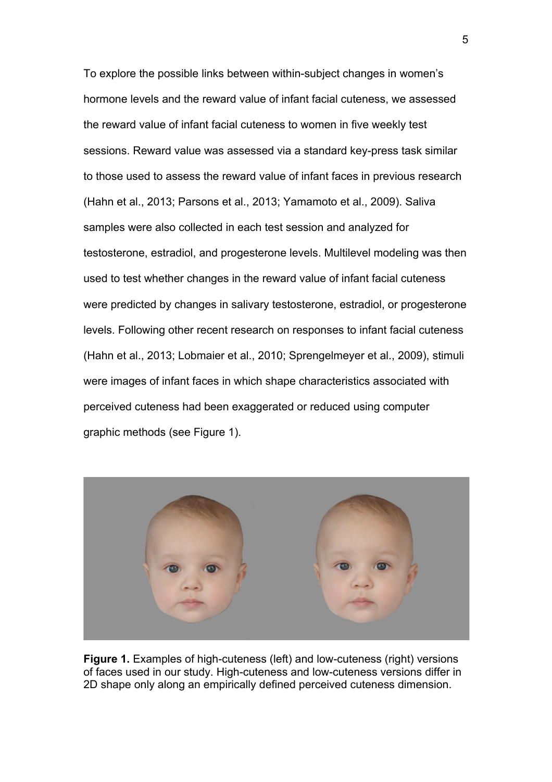To explore the possible links between within-subject changes in women's hormone levels and the reward value of infant facial cuteness, we assessed the reward value of infant facial cuteness to women in five weekly test sessions. Reward value was assessed via a standard key-press task similar to those used to assess the reward value of infant faces in previous research (Hahn et al., 2013; Parsons et al., 2013; Yamamoto et al., 2009). Saliva samples were also collected in each test session and analyzed for testosterone, estradiol, and progesterone levels. Multilevel modeling was then used to test whether changes in the reward value of infant facial cuteness were predicted by changes in salivary testosterone, estradiol, or progesterone levels. Following other recent research on responses to infant facial cuteness (Hahn et al., 2013; Lobmaier et al., 2010; Sprengelmeyer et al., 2009), stimuli were images of infant faces in which shape characteristics associated with perceived cuteness had been exaggerated or reduced using computer graphic methods (see Figure 1).



**Figure 1.** Examples of high-cuteness (left) and low-cuteness (right) versions of faces used in our study. High-cuteness and low-cuteness versions differ in 2D shape only along an empirically defined perceived cuteness dimension.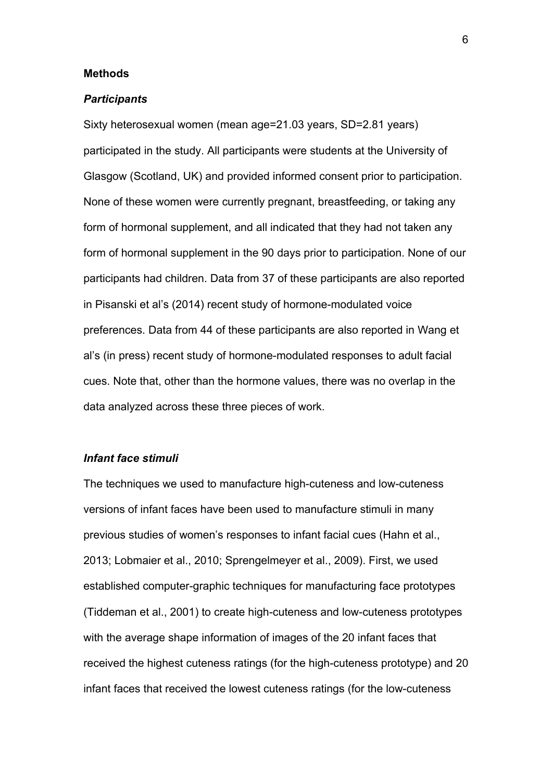#### **Methods**

#### *Participants*

Sixty heterosexual women (mean age=21.03 years, SD=2.81 years) participated in the study. All participants were students at the University of Glasgow (Scotland, UK) and provided informed consent prior to participation. None of these women were currently pregnant, breastfeeding, or taking any form of hormonal supplement, and all indicated that they had not taken any form of hormonal supplement in the 90 days prior to participation. None of our participants had children. Data from 37 of these participants are also reported in Pisanski et al's (2014) recent study of hormone-modulated voice preferences. Data from 44 of these participants are also reported in Wang et al's (in press) recent study of hormone-modulated responses to adult facial cues. Note that, other than the hormone values, there was no overlap in the data analyzed across these three pieces of work.

## *Infant face stimuli*

The techniques we used to manufacture high-cuteness and low-cuteness versions of infant faces have been used to manufacture stimuli in many previous studies of women's responses to infant facial cues (Hahn et al., 2013; Lobmaier et al., 2010; Sprengelmeyer et al., 2009). First, we used established computer-graphic techniques for manufacturing face prototypes (Tiddeman et al., 2001) to create high-cuteness and low-cuteness prototypes with the average shape information of images of the 20 infant faces that received the highest cuteness ratings (for the high-cuteness prototype) and 20 infant faces that received the lowest cuteness ratings (for the low-cuteness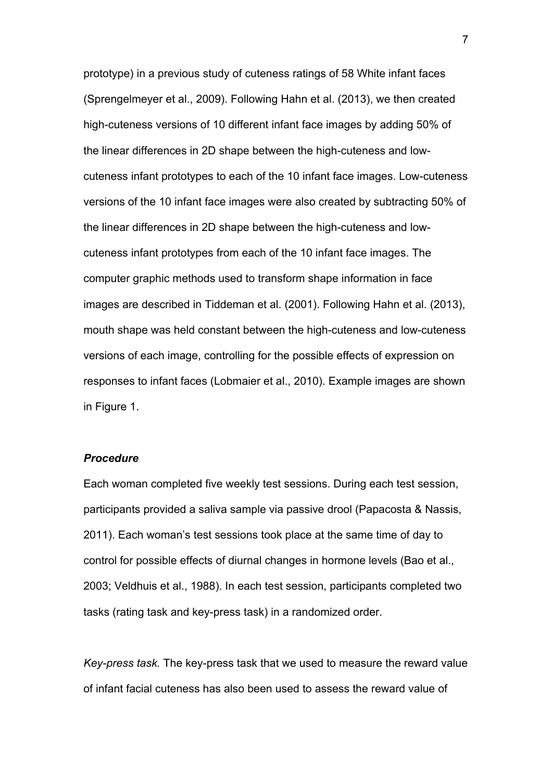prototype) in a previous study of cuteness ratings of 58 White infant faces (Sprengelmeyer et al., 2009). Following Hahn et al. (2013), we then created high-cuteness versions of 10 different infant face images by adding 50% of the linear differences in 2D shape between the high-cuteness and lowcuteness infant prototypes to each of the 10 infant face images. Low-cuteness versions of the 10 infant face images were also created by subtracting 50% of the linear differences in 2D shape between the high-cuteness and lowcuteness infant prototypes from each of the 10 infant face images. The computer graphic methods used to transform shape information in face images are described in Tiddeman et al. (2001). Following Hahn et al. (2013), mouth shape was held constant between the high-cuteness and low-cuteness versions of each image, controlling for the possible effects of expression on responses to infant faces (Lobmaier et al., 2010). Example images are shown in Figure 1.

## *Procedure*

Each woman completed five weekly test sessions. During each test session, participants provided a saliva sample via passive drool (Papacosta & Nassis, 2011). Each woman's test sessions took place at the same time of day to control for possible effects of diurnal changes in hormone levels (Bao et al., 2003; Veldhuis et al., 1988). In each test session, participants completed two tasks (rating task and key-press task) in a randomized order.

*Key-press task.* The key-press task that we used to measure the reward value of infant facial cuteness has also been used to assess the reward value of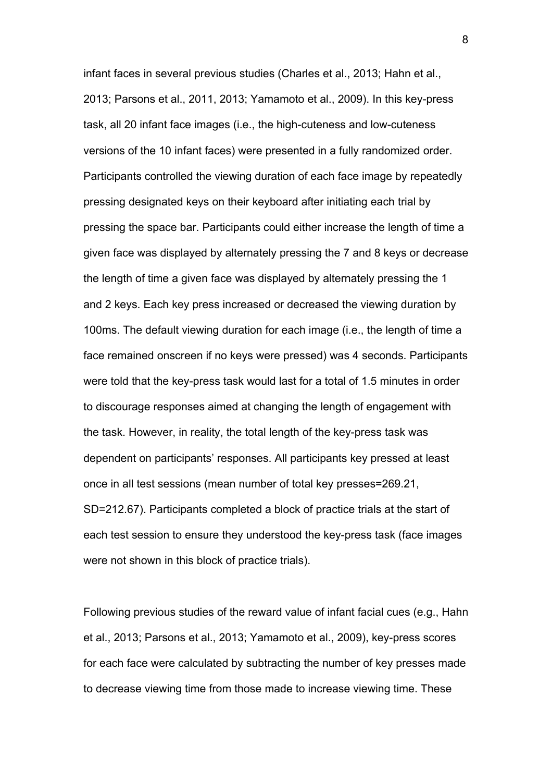infant faces in several previous studies (Charles et al., 2013; Hahn et al., 2013; Parsons et al., 2011, 2013; Yamamoto et al., 2009). In this key-press task, all 20 infant face images (i.e., the high-cuteness and low-cuteness versions of the 10 infant faces) were presented in a fully randomized order. Participants controlled the viewing duration of each face image by repeatedly pressing designated keys on their keyboard after initiating each trial by pressing the space bar. Participants could either increase the length of time a given face was displayed by alternately pressing the 7 and 8 keys or decrease the length of time a given face was displayed by alternately pressing the 1 and 2 keys. Each key press increased or decreased the viewing duration by 100ms. The default viewing duration for each image (i.e., the length of time a face remained onscreen if no keys were pressed) was 4 seconds. Participants were told that the key-press task would last for a total of 1.5 minutes in order to discourage responses aimed at changing the length of engagement with the task. However, in reality, the total length of the key-press task was dependent on participants' responses. All participants key pressed at least once in all test sessions (mean number of total key presses=269.21, SD=212.67). Participants completed a block of practice trials at the start of each test session to ensure they understood the key-press task (face images were not shown in this block of practice trials).

Following previous studies of the reward value of infant facial cues (e.g., Hahn et al., 2013; Parsons et al., 2013; Yamamoto et al., 2009), key-press scores for each face were calculated by subtracting the number of key presses made to decrease viewing time from those made to increase viewing time. These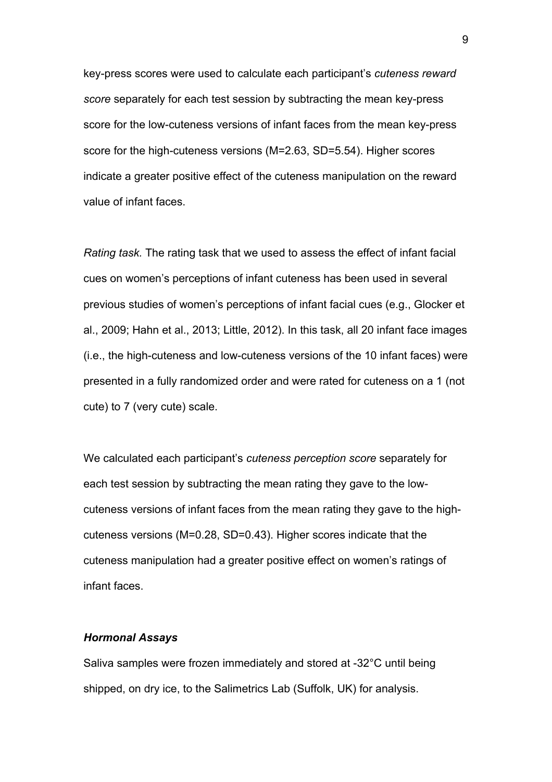key-press scores were used to calculate each participant's *cuteness reward score* separately for each test session by subtracting the mean key-press score for the low-cuteness versions of infant faces from the mean key-press score for the high-cuteness versions (M=2.63, SD=5.54). Higher scores indicate a greater positive effect of the cuteness manipulation on the reward value of infant faces.

*Rating task.* The rating task that we used to assess the effect of infant facial cues on women's perceptions of infant cuteness has been used in several previous studies of women's perceptions of infant facial cues (e.g., Glocker et al., 2009; Hahn et al., 2013; Little, 2012). In this task, all 20 infant face images (i.e., the high-cuteness and low-cuteness versions of the 10 infant faces) were presented in a fully randomized order and were rated for cuteness on a 1 (not cute) to 7 (very cute) scale.

We calculated each participant's *cuteness perception score* separately for each test session by subtracting the mean rating they gave to the lowcuteness versions of infant faces from the mean rating they gave to the highcuteness versions (M=0.28, SD=0.43). Higher scores indicate that the cuteness manipulation had a greater positive effect on women's ratings of infant faces.

## *Hormonal Assays*

Saliva samples were frozen immediately and stored at -32°C until being shipped, on dry ice, to the Salimetrics Lab (Suffolk, UK) for analysis.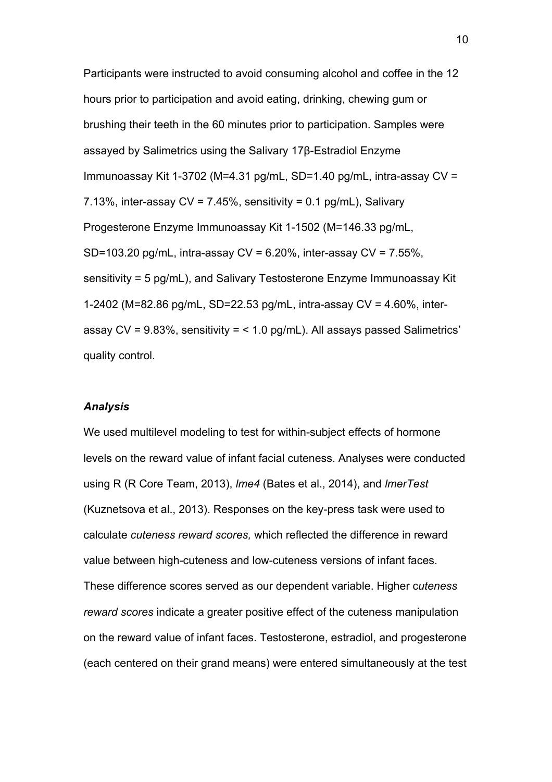Participants were instructed to avoid consuming alcohol and coffee in the 12 hours prior to participation and avoid eating, drinking, chewing gum or brushing their teeth in the 60 minutes prior to participation. Samples were assayed by Salimetrics using the Salivary 17β-Estradiol Enzyme Immunoassay Kit 1-3702 (M=4.31 pg/mL, SD=1.40 pg/mL, intra-assay CV = 7.13%, inter-assay  $CV = 7.45%$ , sensitivity = 0.1 pg/mL), Salivary Progesterone Enzyme Immunoassay Kit 1-1502 (M=146.33 pg/mL, SD=103.20 pg/mL, intra-assay  $CV = 6.20\%$ , inter-assay  $CV = 7.55\%$ , sensitivity = 5 pg/mL), and Salivary Testosterone Enzyme Immunoassay Kit 1-2402 (M=82.86 pg/mL, SD=22.53 pg/mL, intra-assay CV = 4.60%, interassay  $CV = 9.83\%$ , sensitivity = < 1.0 pg/mL). All assays passed Salimetrics' quality control.

## *Analysis*

We used multilevel modeling to test for within-subject effects of hormone levels on the reward value of infant facial cuteness. Analyses were conducted using R (R Core Team, 2013), *lme4* (Bates et al., 2014), and *lmerTest* (Kuznetsova et al., 2013). Responses on the key-press task were used to calculate *cuteness reward scores,* which reflected the difference in reward value between high-cuteness and low-cuteness versions of infant faces. These difference scores served as our dependent variable. Higher c*uteness reward scores* indicate a greater positive effect of the cuteness manipulation on the reward value of infant faces. Testosterone, estradiol, and progesterone (each centered on their grand means) were entered simultaneously at the test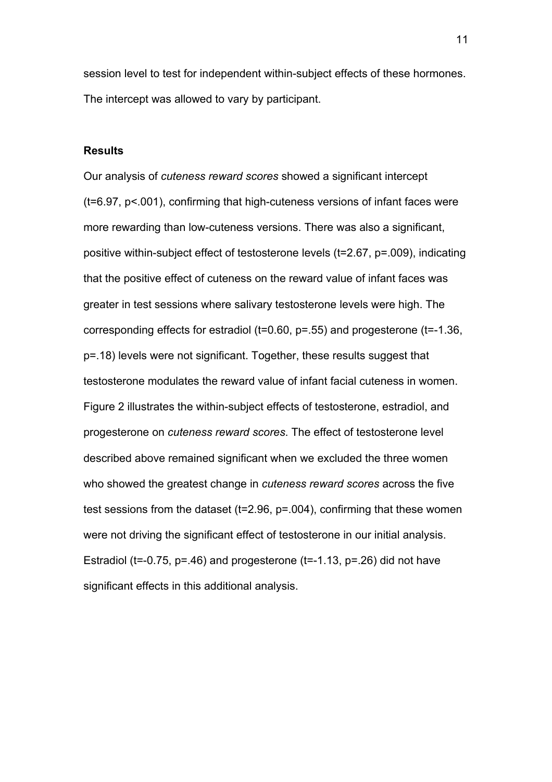session level to test for independent within-subject effects of these hormones. The intercept was allowed to vary by participant.

# **Results**

Our analysis of *cuteness reward scores* showed a significant intercept (t=6.97, p<.001), confirming that high-cuteness versions of infant faces were more rewarding than low-cuteness versions. There was also a significant, positive within-subject effect of testosterone levels (t=2.67, p=.009), indicating that the positive effect of cuteness on the reward value of infant faces was greater in test sessions where salivary testosterone levels were high. The corresponding effects for estradiol (t=0.60, p=.55) and progesterone (t=-1.36, p=.18) levels were not significant. Together, these results suggest that testosterone modulates the reward value of infant facial cuteness in women. Figure 2 illustrates the within-subject effects of testosterone, estradiol, and progesterone on *cuteness reward scores*. The effect of testosterone level described above remained significant when we excluded the three women who showed the greatest change in *cuteness reward scores* across the five test sessions from the dataset (t=2.96, p=.004), confirming that these women were not driving the significant effect of testosterone in our initial analysis. Estradiol (t=-0.75,  $p=46$ ) and progesterone (t=-1.13,  $p=.26$ ) did not have significant effects in this additional analysis.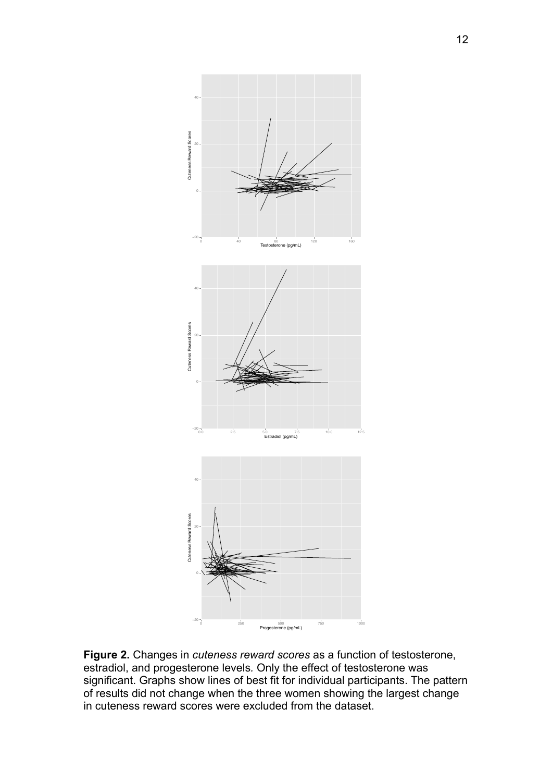

**Figure 2.** Changes in *cuteness reward scores* as a function of testosterone, estradiol, and progesterone levels*.* Only the effect of testosterone was significant. Graphs show lines of best fit for individual participants. The pattern of results did not change when the three women showing the largest change in cuteness reward scores were excluded from the dataset.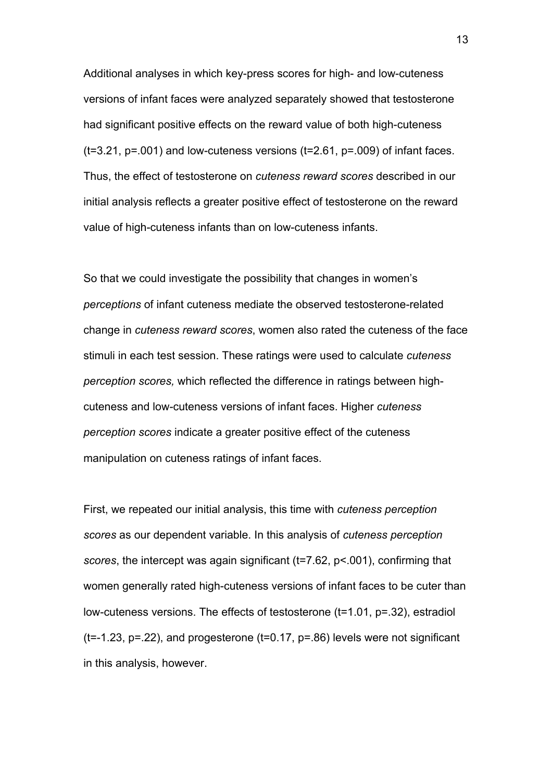Additional analyses in which key-press scores for high- and low-cuteness versions of infant faces were analyzed separately showed that testosterone had significant positive effects on the reward value of both high-cuteness  $(t=3.21, p=.001)$  and low-cuteness versions  $(t=2.61, p=.009)$  of infant faces. Thus, the effect of testosterone on *cuteness reward scores* described in our initial analysis reflects a greater positive effect of testosterone on the reward value of high-cuteness infants than on low-cuteness infants.

So that we could investigate the possibility that changes in women's *perceptions* of infant cuteness mediate the observed testosterone-related change in *cuteness reward scores*, women also rated the cuteness of the face stimuli in each test session. These ratings were used to calculate *cuteness perception scores,* which reflected the difference in ratings between highcuteness and low-cuteness versions of infant faces. Higher *cuteness perception scores* indicate a greater positive effect of the cuteness manipulation on cuteness ratings of infant faces.

First, we repeated our initial analysis, this time with *cuteness perception scores* as our dependent variable. In this analysis of *cuteness perception scores*, the intercept was again significant (t=7.62, p<.001), confirming that women generally rated high-cuteness versions of infant faces to be cuter than low-cuteness versions. The effects of testosterone (t=1.01, p=.32), estradiol  $(t=1.23, p=.22)$ , and progesterone  $(t=0.17, p=.86)$  levels were not significant in this analysis, however.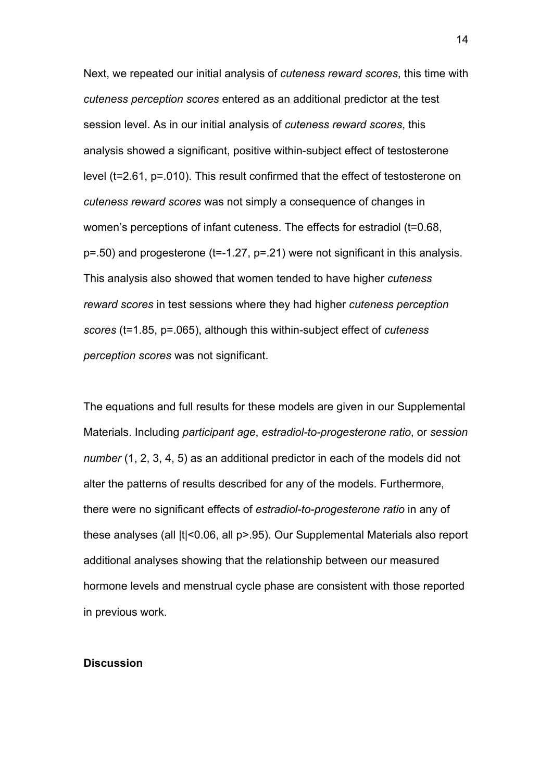Next, we repeated our initial analysis of *cuteness reward scores*, this time with *cuteness perception scores* entered as an additional predictor at the test session level. As in our initial analysis of *cuteness reward scores*, this analysis showed a significant, positive within-subject effect of testosterone level (t=2.61, p=.010). This result confirmed that the effect of testosterone on *cuteness reward scores* was not simply a consequence of changes in women's perceptions of infant cuteness. The effects for estradiol (t=0.68, p=.50) and progesterone (t=-1.27, p=.21) were not significant in this analysis. This analysis also showed that women tended to have higher *cuteness reward scores* in test sessions where they had higher *cuteness perception scores* (t=1.85, p=.065), although this within-subject effect of *cuteness perception scores* was not significant.

The equations and full results for these models are given in our Supplemental Materials. Including *participant age*, *estradiol-to-progesterone ratio*, or *session number* (1, 2, 3, 4, 5) as an additional predictor in each of the models did not alter the patterns of results described for any of the models. Furthermore, there were no significant effects of *estradiol-to-progesterone ratio* in any of these analyses (all |t|<0.06, all p>.95). Our Supplemental Materials also report additional analyses showing that the relationship between our measured hormone levels and menstrual cycle phase are consistent with those reported in previous work.

## **Discussion**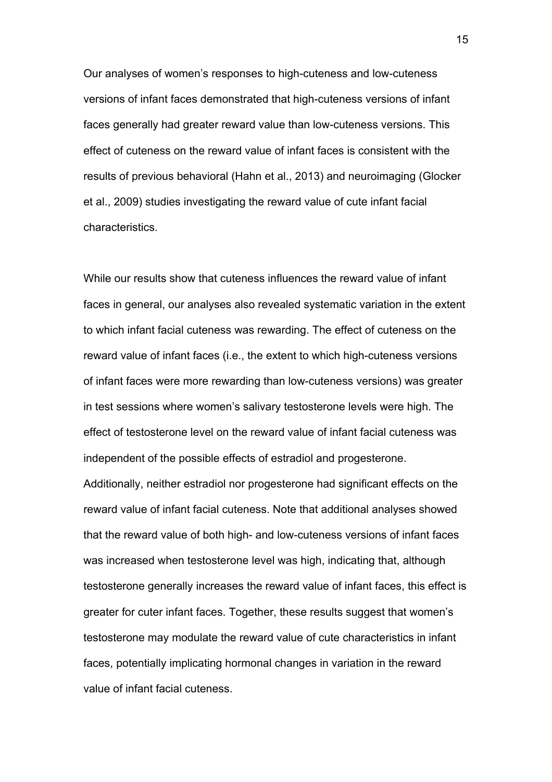Our analyses of women's responses to high-cuteness and low-cuteness versions of infant faces demonstrated that high-cuteness versions of infant faces generally had greater reward value than low-cuteness versions. This effect of cuteness on the reward value of infant faces is consistent with the results of previous behavioral (Hahn et al., 2013) and neuroimaging (Glocker et al., 2009) studies investigating the reward value of cute infant facial characteristics.

While our results show that cuteness influences the reward value of infant faces in general, our analyses also revealed systematic variation in the extent to which infant facial cuteness was rewarding. The effect of cuteness on the reward value of infant faces (i.e., the extent to which high-cuteness versions of infant faces were more rewarding than low-cuteness versions) was greater in test sessions where women's salivary testosterone levels were high. The effect of testosterone level on the reward value of infant facial cuteness was independent of the possible effects of estradiol and progesterone.

Additionally, neither estradiol nor progesterone had significant effects on the reward value of infant facial cuteness. Note that additional analyses showed that the reward value of both high- and low-cuteness versions of infant faces was increased when testosterone level was high, indicating that, although testosterone generally increases the reward value of infant faces, this effect is greater for cuter infant faces. Together, these results suggest that women's testosterone may modulate the reward value of cute characteristics in infant faces, potentially implicating hormonal changes in variation in the reward value of infant facial cuteness.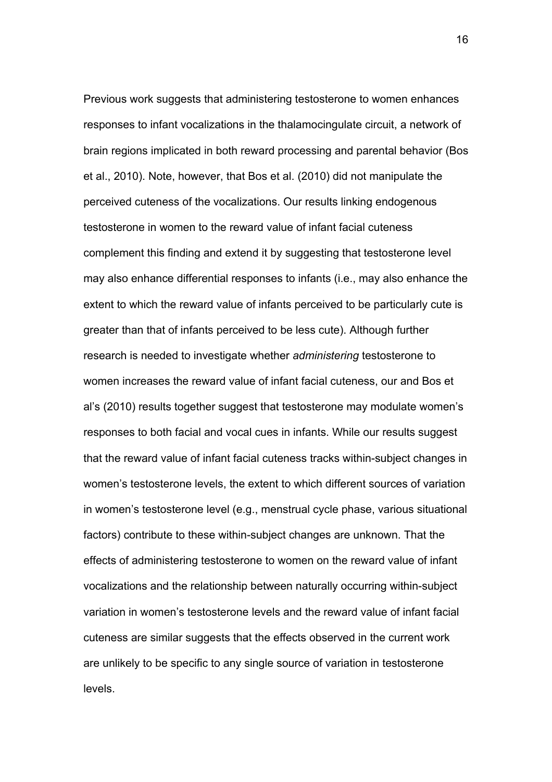Previous work suggests that administering testosterone to women enhances responses to infant vocalizations in the thalamocingulate circuit, a network of brain regions implicated in both reward processing and parental behavior (Bos et al., 2010). Note, however, that Bos et al. (2010) did not manipulate the perceived cuteness of the vocalizations. Our results linking endogenous testosterone in women to the reward value of infant facial cuteness complement this finding and extend it by suggesting that testosterone level may also enhance differential responses to infants (i.e., may also enhance the extent to which the reward value of infants perceived to be particularly cute is greater than that of infants perceived to be less cute). Although further research is needed to investigate whether *administering* testosterone to women increases the reward value of infant facial cuteness, our and Bos et al's (2010) results together suggest that testosterone may modulate women's responses to both facial and vocal cues in infants. While our results suggest that the reward value of infant facial cuteness tracks within-subject changes in women's testosterone levels, the extent to which different sources of variation in women's testosterone level (e.g., menstrual cycle phase, various situational factors) contribute to these within-subject changes are unknown. That the effects of administering testosterone to women on the reward value of infant vocalizations and the relationship between naturally occurring within-subject variation in women's testosterone levels and the reward value of infant facial cuteness are similar suggests that the effects observed in the current work are unlikely to be specific to any single source of variation in testosterone levels.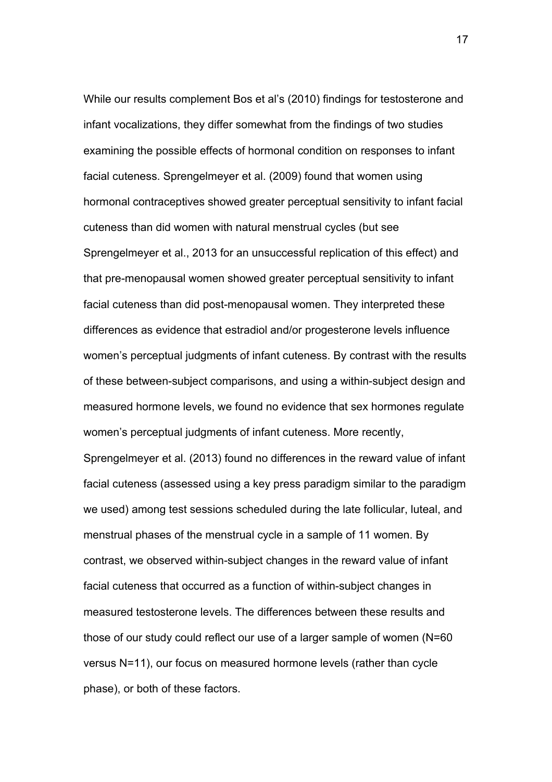While our results complement Bos et al's (2010) findings for testosterone and infant vocalizations, they differ somewhat from the findings of two studies examining the possible effects of hormonal condition on responses to infant facial cuteness. Sprengelmeyer et al. (2009) found that women using hormonal contraceptives showed greater perceptual sensitivity to infant facial cuteness than did women with natural menstrual cycles (but see Sprengelmeyer et al., 2013 for an unsuccessful replication of this effect) and that pre-menopausal women showed greater perceptual sensitivity to infant facial cuteness than did post-menopausal women. They interpreted these differences as evidence that estradiol and/or progesterone levels influence women's perceptual judgments of infant cuteness. By contrast with the results of these between-subject comparisons, and using a within-subject design and measured hormone levels, we found no evidence that sex hormones regulate women's perceptual judgments of infant cuteness. More recently,

Sprengelmeyer et al. (2013) found no differences in the reward value of infant facial cuteness (assessed using a key press paradigm similar to the paradigm we used) among test sessions scheduled during the late follicular, luteal, and menstrual phases of the menstrual cycle in a sample of 11 women. By contrast, we observed within-subject changes in the reward value of infant facial cuteness that occurred as a function of within-subject changes in measured testosterone levels. The differences between these results and those of our study could reflect our use of a larger sample of women (N=60 versus N=11), our focus on measured hormone levels (rather than cycle phase), or both of these factors.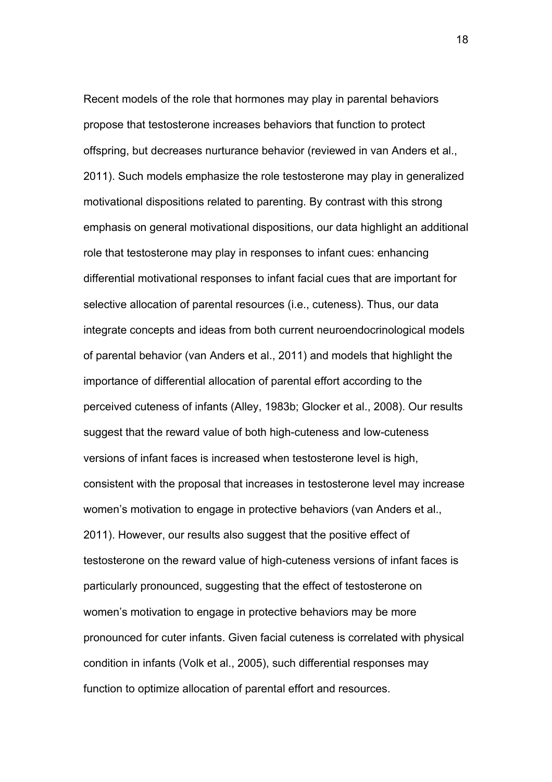Recent models of the role that hormones may play in parental behaviors propose that testosterone increases behaviors that function to protect offspring, but decreases nurturance behavior (reviewed in van Anders et al., 2011). Such models emphasize the role testosterone may play in generalized motivational dispositions related to parenting. By contrast with this strong emphasis on general motivational dispositions, our data highlight an additional role that testosterone may play in responses to infant cues: enhancing differential motivational responses to infant facial cues that are important for selective allocation of parental resources (i.e., cuteness). Thus, our data integrate concepts and ideas from both current neuroendocrinological models of parental behavior (van Anders et al., 2011) and models that highlight the importance of differential allocation of parental effort according to the perceived cuteness of infants (Alley, 1983b; Glocker et al., 2008). Our results suggest that the reward value of both high-cuteness and low-cuteness versions of infant faces is increased when testosterone level is high, consistent with the proposal that increases in testosterone level may increase women's motivation to engage in protective behaviors (van Anders et al., 2011). However, our results also suggest that the positive effect of testosterone on the reward value of high-cuteness versions of infant faces is particularly pronounced, suggesting that the effect of testosterone on women's motivation to engage in protective behaviors may be more pronounced for cuter infants. Given facial cuteness is correlated with physical condition in infants (Volk et al., 2005), such differential responses may function to optimize allocation of parental effort and resources.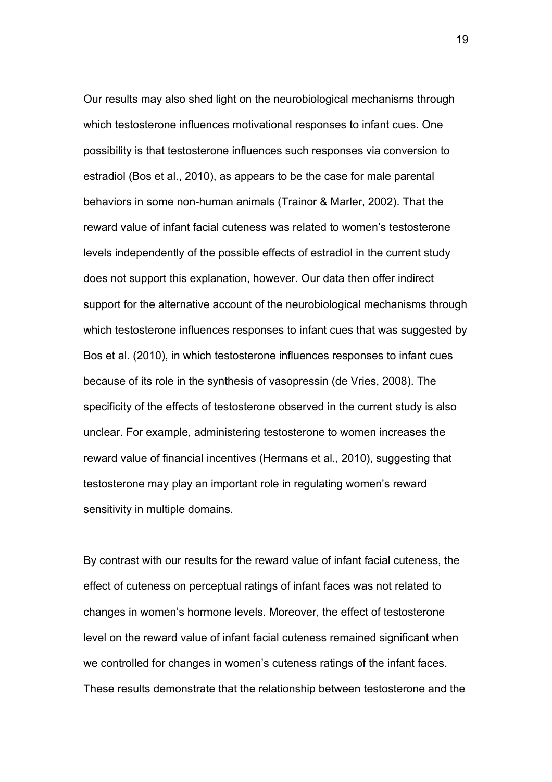Our results may also shed light on the neurobiological mechanisms through which testosterone influences motivational responses to infant cues. One possibility is that testosterone influences such responses via conversion to estradiol (Bos et al., 2010), as appears to be the case for male parental behaviors in some non-human animals (Trainor & Marler, 2002). That the reward value of infant facial cuteness was related to women's testosterone levels independently of the possible effects of estradiol in the current study does not support this explanation, however. Our data then offer indirect support for the alternative account of the neurobiological mechanisms through which testosterone influences responses to infant cues that was suggested by Bos et al. (2010), in which testosterone influences responses to infant cues because of its role in the synthesis of vasopressin (de Vries, 2008). The specificity of the effects of testosterone observed in the current study is also unclear. For example, administering testosterone to women increases the reward value of financial incentives (Hermans et al., 2010), suggesting that testosterone may play an important role in regulating women's reward sensitivity in multiple domains.

By contrast with our results for the reward value of infant facial cuteness, the effect of cuteness on perceptual ratings of infant faces was not related to changes in women's hormone levels. Moreover, the effect of testosterone level on the reward value of infant facial cuteness remained significant when we controlled for changes in women's cuteness ratings of the infant faces. These results demonstrate that the relationship between testosterone and the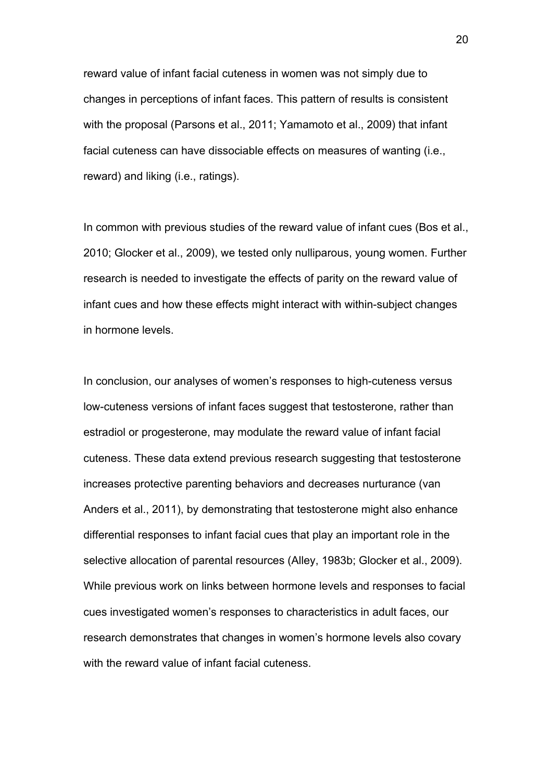reward value of infant facial cuteness in women was not simply due to changes in perceptions of infant faces. This pattern of results is consistent with the proposal (Parsons et al., 2011; Yamamoto et al., 2009) that infant facial cuteness can have dissociable effects on measures of wanting (i.e., reward) and liking (i.e., ratings).

In common with previous studies of the reward value of infant cues (Bos et al., 2010; Glocker et al., 2009), we tested only nulliparous, young women. Further research is needed to investigate the effects of parity on the reward value of infant cues and how these effects might interact with within-subject changes in hormone levels.

In conclusion, our analyses of women's responses to high-cuteness versus low-cuteness versions of infant faces suggest that testosterone, rather than estradiol or progesterone, may modulate the reward value of infant facial cuteness. These data extend previous research suggesting that testosterone increases protective parenting behaviors and decreases nurturance (van Anders et al., 2011), by demonstrating that testosterone might also enhance differential responses to infant facial cues that play an important role in the selective allocation of parental resources (Alley, 1983b; Glocker et al., 2009). While previous work on links between hormone levels and responses to facial cues investigated women's responses to characteristics in adult faces, our research demonstrates that changes in women's hormone levels also covary with the reward value of infant facial cuteness.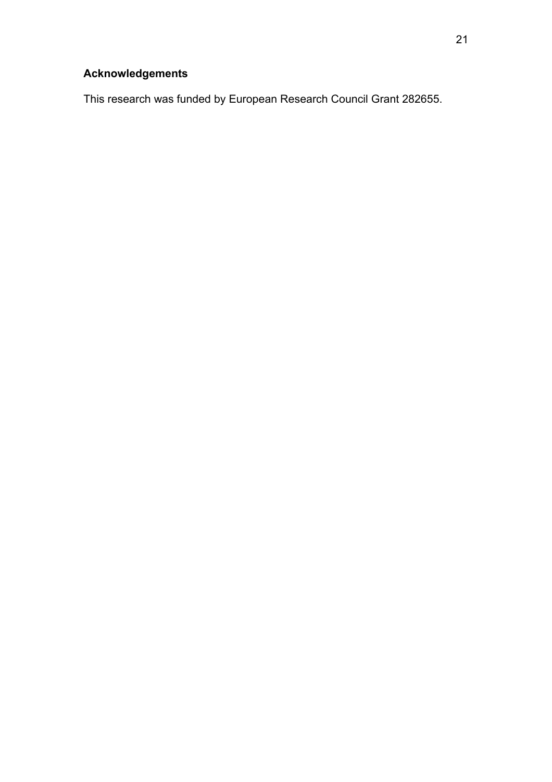# **Acknowledgements**

This research was funded by European Research Council Grant 282655.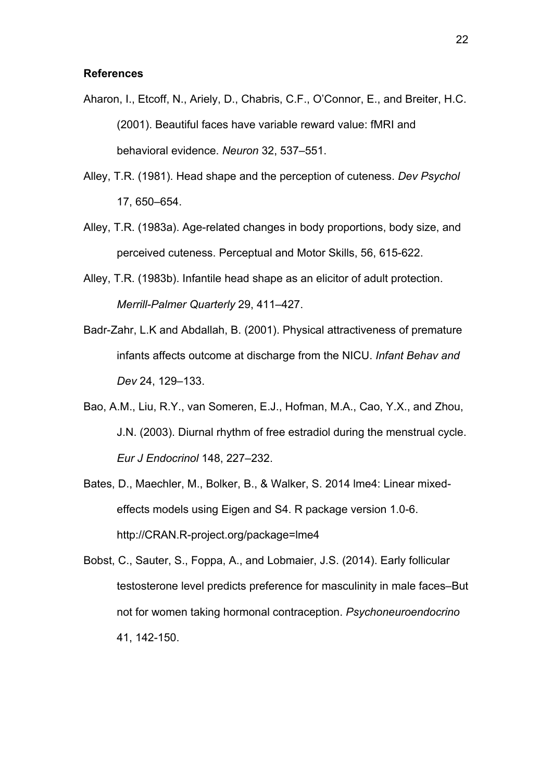#### **References**

- Aharon, I., Etcoff, N., Ariely, D., Chabris, C.F., O'Connor, E., and Breiter, H.C. (2001). Beautiful faces have variable reward value: fMRI and behavioral evidence. *Neuron* 32, 537–551.
- Alley, T.R. (1981). Head shape and the perception of cuteness. *Dev Psychol* 17, 650–654.
- Alley, T.R. (1983a). Age-related changes in body proportions, body size, and perceived cuteness. Perceptual and Motor Skills, 56, 615-622.
- Alley, T.R. (1983b). Infantile head shape as an elicitor of adult protection. *Merrill-Palmer Quarterly* 29, 411–427.
- Badr-Zahr, L.K and Abdallah, B. (2001). Physical attractiveness of premature infants affects outcome at discharge from the NICU. *Infant Behav and Dev* 24, 129–133.
- Bao, A.M., Liu, R.Y., van Someren, E.J., Hofman, M.A., Cao, Y.X., and Zhou, J.N. (2003). Diurnal rhythm of free estradiol during the menstrual cycle. *Eur J Endocrinol* 148, 227–232.
- Bates, D., Maechler, M., Bolker, B., & Walker, S. 2014 lme4: Linear mixedeffects models using Eigen and S4. R package version 1.0-6. http://CRAN.R-project.org/package=lme4
- Bobst, C., Sauter, S., Foppa, A., and Lobmaier, J.S. (2014). Early follicular testosterone level predicts preference for masculinity in male faces–But not for women taking hormonal contraception. *Psychoneuroendocrino* 41, 142-150.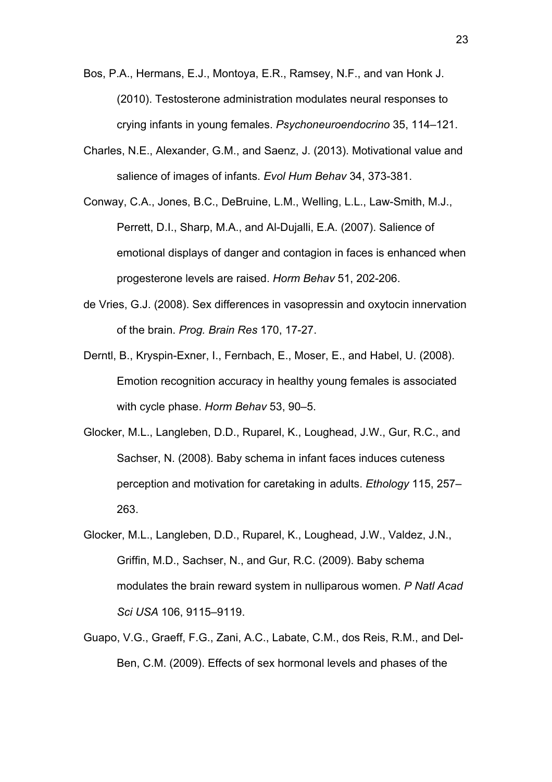- Bos, P.A., Hermans, E.J., Montoya, E.R., Ramsey, N.F., and van Honk J. (2010). Testosterone administration modulates neural responses to crying infants in young females. *Psychoneuroendocrino* 35, 114–121.
- Charles, N.E., Alexander, G.M., and Saenz, J. (2013). Motivational value and salience of images of infants. *Evol Hum Behav* 34, 373-381.
- Conway, C.A., Jones, B.C., DeBruine, L.M., Welling, L.L., Law-Smith, M.J., Perrett, D.I., Sharp, M.A., and Al-Dujalli, E.A. (2007). Salience of emotional displays of danger and contagion in faces is enhanced when progesterone levels are raised. *Horm Behav* 51, 202-206.
- de Vries, G.J. (2008). Sex differences in vasopressin and oxytocin innervation of the brain. *Prog. Brain Res* 170, 17-27.
- Derntl, B., Kryspin-Exner, I., Fernbach, E., Moser, E., and Habel, U. (2008). Emotion recognition accuracy in healthy young females is associated with cycle phase. *Horm Behav* 53, 90–5.
- Glocker, M.L., Langleben, D.D., Ruparel, K., Loughead, J.W., Gur, R.C., and Sachser, N. (2008). Baby schema in infant faces induces cuteness perception and motivation for caretaking in adults. *Ethology* 115, 257– 263.
- Glocker, M.L., Langleben, D.D., Ruparel, K., Loughead, J.W., Valdez, J.N., Griffin, M.D., Sachser, N., and Gur, R.C. (2009). Baby schema modulates the brain reward system in nulliparous women. *P Natl Acad Sci USA* 106, 9115–9119.
- Guapo, V.G., Graeff, F.G., Zani, A.C., Labate, C.M., dos Reis, R.M., and Del-Ben, C.M. (2009). Effects of sex hormonal levels and phases of the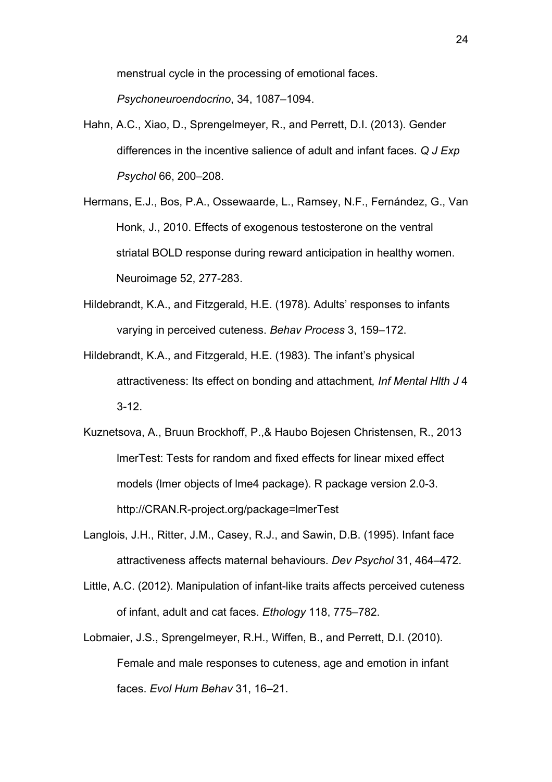menstrual cycle in the processing of emotional faces.

*Psychoneuroendocrino*, 34, 1087–1094.

- Hahn, A.C., Xiao, D., Sprengelmeyer, R., and Perrett, D.I. (2013). Gender differences in the incentive salience of adult and infant faces. *Q J Exp Psychol* 66, 200–208.
- Hermans, E.J., Bos, P.A., Ossewaarde, L., Ramsey, N.F., Fernández, G., Van Honk, J., 2010. Effects of exogenous testosterone on the ventral striatal BOLD response during reward anticipation in healthy women. Neuroimage 52, 277-283.
- Hildebrandt, K.A., and Fitzgerald, H.E. (1978). Adults' responses to infants varying in perceived cuteness. *Behav Process* 3, 159–172.
- Hildebrandt, K.A., and Fitzgerald, H.E. (1983). The infant's physical attractiveness: Its effect on bonding and attachment*, Inf Mental Hlth J* 4 3-12.
- Kuznetsova, A., Bruun Brockhoff, P.,& Haubo Bojesen Christensen, R., 2013 lmerTest: Tests for random and fixed effects for linear mixed effect models (lmer objects of lme4 package). R package version 2.0-3. http://CRAN.R-project.org/package=lmerTest
- Langlois, J.H., Ritter, J.M., Casey, R.J., and Sawin, D.B. (1995). Infant face attractiveness affects maternal behaviours. *Dev Psychol* 31, 464–472.
- Little, A.C. (2012). Manipulation of infant-like traits affects perceived cuteness of infant, adult and cat faces. *Ethology* 118, 775–782.
- Lobmaier, J.S., Sprengelmeyer, R.H., Wiffen, B., and Perrett, D.I. (2010). Female and male responses to cuteness, age and emotion in infant faces. *Evol Hum Behav* 31, 16–21.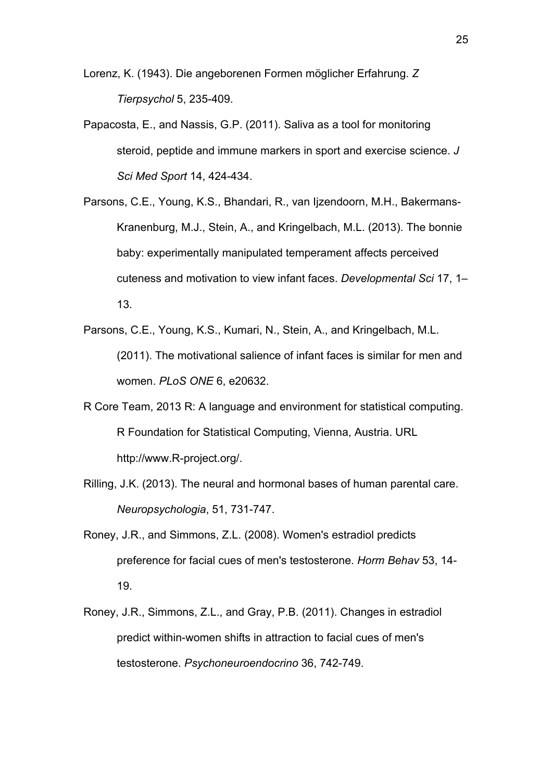Lorenz, K. (1943). Die angeborenen Formen möglicher Erfahrung. *Z Tierpsychol* 5, 235-409.

- Papacosta, E., and Nassis, G.P. (2011). Saliva as a tool for monitoring steroid, peptide and immune markers in sport and exercise science. *J Sci Med Sport* 14, 424-434.
- Parsons, C.E., Young, K.S., Bhandari, R., van Ijzendoorn, M.H., Bakermans-Kranenburg, M.J., Stein, A., and Kringelbach, M.L. (2013). The bonnie baby: experimentally manipulated temperament affects perceived cuteness and motivation to view infant faces. *Developmental Sci* 17, 1– 13.
- Parsons, C.E., Young, K.S., Kumari, N., Stein, A., and Kringelbach, M.L. (2011). The motivational salience of infant faces is similar for men and women. *PLoS ONE* 6, e20632.
- R Core Team, 2013 R: A language and environment for statistical computing. R Foundation for Statistical Computing, Vienna, Austria. URL http://www.R-project.org/.
- Rilling, J.K. (2013). The neural and hormonal bases of human parental care. *Neuropsychologia*, 51, 731-747.
- Roney, J.R., and Simmons, Z.L. (2008). Women's estradiol predicts preference for facial cues of men's testosterone. *Horm Behav* 53, 14- 19.
- Roney, J.R., Simmons, Z.L., and Gray, P.B. (2011). Changes in estradiol predict within-women shifts in attraction to facial cues of men's testosterone. *Psychoneuroendocrino* 36, 742-749.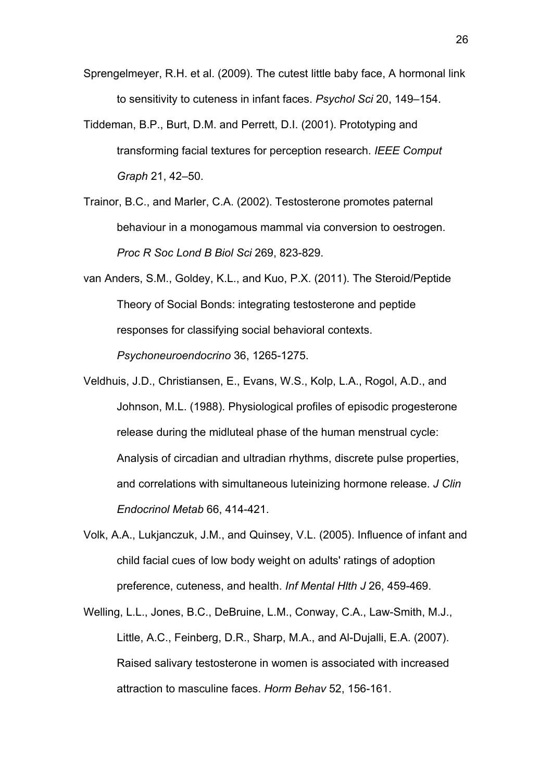Sprengelmeyer, R.H. et al. (2009). The cutest little baby face, A hormonal link to sensitivity to cuteness in infant faces. *Psychol Sci* 20, 149–154.

- Tiddeman, B.P., Burt, D.M. and Perrett, D.I. (2001). Prototyping and transforming facial textures for perception research. *IEEE Comput Graph* 21, 42–50.
- Trainor, B.C., and Marler, C.A. (2002). Testosterone promotes paternal behaviour in a monogamous mammal via conversion to oestrogen. *Proc R Soc Lond B Biol Sci* 269, 823-829.
- van Anders, S.M., Goldey, K.L., and Kuo, P.X. (2011). The Steroid/Peptide Theory of Social Bonds: integrating testosterone and peptide responses for classifying social behavioral contexts. *Psychoneuroendocrino* 36, 1265-1275.
- Veldhuis, J.D., Christiansen, E., Evans, W.S., Kolp, L.A., Rogol, A.D., and Johnson, M.L. (1988). Physiological profiles of episodic progesterone release during the midluteal phase of the human menstrual cycle: Analysis of circadian and ultradian rhythms, discrete pulse properties, and correlations with simultaneous luteinizing hormone release. *J Clin Endocrinol Metab* 66, 414-421.
- Volk, A.A., Lukjanczuk, J.M., and Quinsey, V.L. (2005). Influence of infant and child facial cues of low body weight on adults' ratings of adoption preference, cuteness, and health. *Inf Mental Hlth J* 26, 459-469.
- Welling, L.L., Jones, B.C., DeBruine, L.M., Conway, C.A., Law-Smith, M.J., Little, A.C., Feinberg, D.R., Sharp, M.A., and Al-Dujalli, E.A. (2007). Raised salivary testosterone in women is associated with increased attraction to masculine faces. *Horm Behav* 52, 156-161.